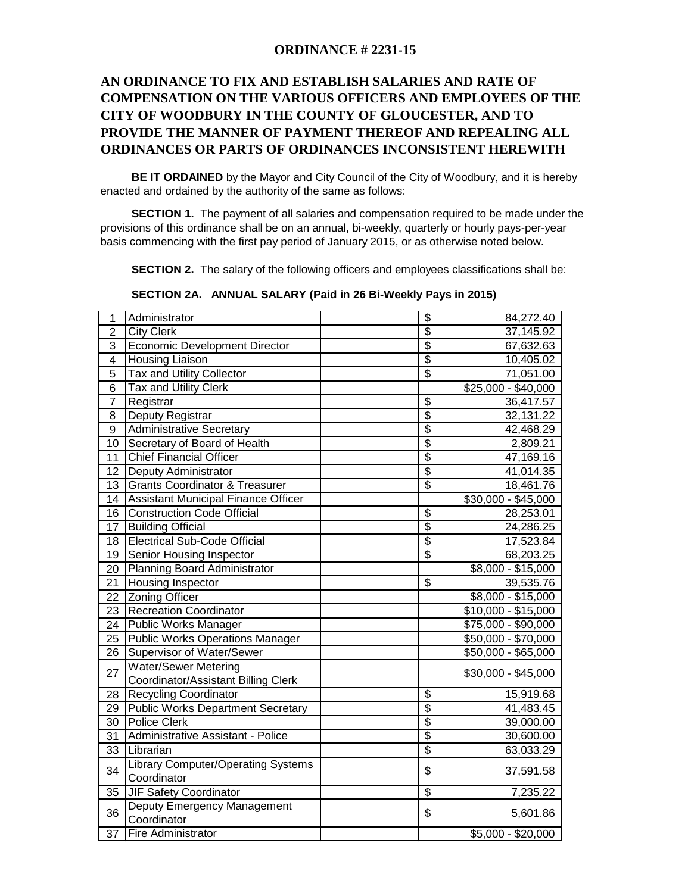## **ORDINANCE # 2231-15**

## **AN ORDINANCE TO FIX AND ESTABLISH SALARIES AND RATE OF COMPENSATION ON THE VARIOUS OFFICERS AND EMPLOYEES OF THE CITY OF WOODBURY IN THE COUNTY OF GLOUCESTER, AND TO PROVIDE THE MANNER OF PAYMENT THEREOF AND REPEALING ALL ORDINANCES OR PARTS OF ORDINANCES INCONSISTENT HEREWITH**

**BE IT ORDAINED** by the Mayor and City Council of the City of Woodbury, and it is hereby enacted and ordained by the authority of the same as follows:

 **SECTION 1.** The payment of all salaries and compensation required to be made under the provisions of this ordinance shall be on an annual, bi-weekly, quarterly or hourly pays-per-year basis commencing with the first pay period of January 2015, or as otherwise noted below.

**SECTION 2.** The salary of the following officers and employees classifications shall be:

| 1                | Administrator                             | \$                       | 84,272.40           |  |
|------------------|-------------------------------------------|--------------------------|---------------------|--|
| $\overline{2}$   | <b>City Clerk</b>                         | \$                       | 37,145.92           |  |
| 3                | Economic Development Director             | $\overline{\$}$          | 67,632.63           |  |
| 4                | <b>Housing Liaison</b>                    | $\overline{\$}$          | 10,405.02           |  |
| 5                | Tax and Utility Collector                 | \$                       | 71,051.00           |  |
| $\overline{6}$   | Tax and Utility Clerk                     |                          | \$25,000 - \$40,000 |  |
| $\overline{7}$   | Registrar                                 | $\overline{\mathcal{S}}$ | 36,417.57           |  |
| 8                | Deputy Registrar                          | $\overline{\$}$          | 32,131.22           |  |
| $\boldsymbol{9}$ | <b>Administrative Secretary</b>           | $\overline{\$}$          | 42,468.29           |  |
| 10               | Secretary of Board of Health              | $\overline{\$}$          | 2,809.21            |  |
| 11               | <b>Chief Financial Officer</b>            | $\overline{\$}$          | 47,169.16           |  |
| 12               | Deputy Administrator                      | $\overline{\$}$          | 41,014.35           |  |
| 13               | <b>Grants Coordinator &amp; Treasurer</b> | $\overline{\$}$          | 18,461.76           |  |
| 14               | Assistant Municipal Finance Officer       |                          | \$30,000 - \$45,000 |  |
| 16               | <b>Construction Code Official</b>         | $\overline{\mathbf{S}}$  | 28,253.01           |  |
| 17               | <b>Building Official</b>                  | $\overline{\$}$          | 24,286.25           |  |
| 18               | Electrical Sub-Code Official              | $\overline{\$}$          | 17,523.84           |  |
| 19               | <b>Senior Housing Inspector</b>           | $\overline{\$}$          | 68,203.25           |  |
| 20               | Planning Board Administrator              |                          | $$8,000 - $15,000$  |  |
| 21               | <b>Housing Inspector</b>                  | $\overline{\mathbb{S}}$  | 39,535.76           |  |
| $\overline{22}$  | <b>Zoning Officer</b>                     |                          | $$8,000 - $15,000$  |  |
| 23               | <b>Recreation Coordinator</b>             |                          | \$10,000 - \$15,000 |  |
| 24               | Public Works Manager                      |                          | \$75,000 - \$90,000 |  |
| 25               | <b>Public Works Operations Manager</b>    |                          | $$50,000 - $70,000$ |  |
| 26               | Supervisor of Water/Sewer                 |                          | \$50,000 - \$65,000 |  |
| 27               | <b>Water/Sewer Metering</b>               |                          | \$30,000 - \$45,000 |  |
|                  | Coordinator/Assistant Billing Clerk       |                          |                     |  |
| 28               | Recycling Coordinator                     | \$                       | 15,919.68           |  |
| 29               | <b>Public Works Department Secretary</b>  | \$                       | 41,483.45           |  |
| 30               | <b>Police Clerk</b>                       | $\overline{\$}$          | 39,000.00           |  |
| 31               | Administrative Assistant - Police         | \$                       | 30,600.00           |  |
| 33               | Librarian                                 | \$                       | 63,033.29           |  |
| 34               | Library Computer/Operating Systems        | \$                       | 37,591.58           |  |
|                  | Coordinator                               |                          |                     |  |
| 35               | <b>JIF Safety Coordinator</b>             | \$                       | 7,235.22            |  |
| 36               | Deputy Emergency Management               | \$                       | 5,601.86            |  |
|                  | Coordinator                               |                          |                     |  |
| 37               | <b>Fire Administrator</b>                 |                          | $$5,000 - $20,000$  |  |

 **SECTION 2A. ANNUAL SALARY (Paid in 26 Bi-Weekly Pays in 2015)**